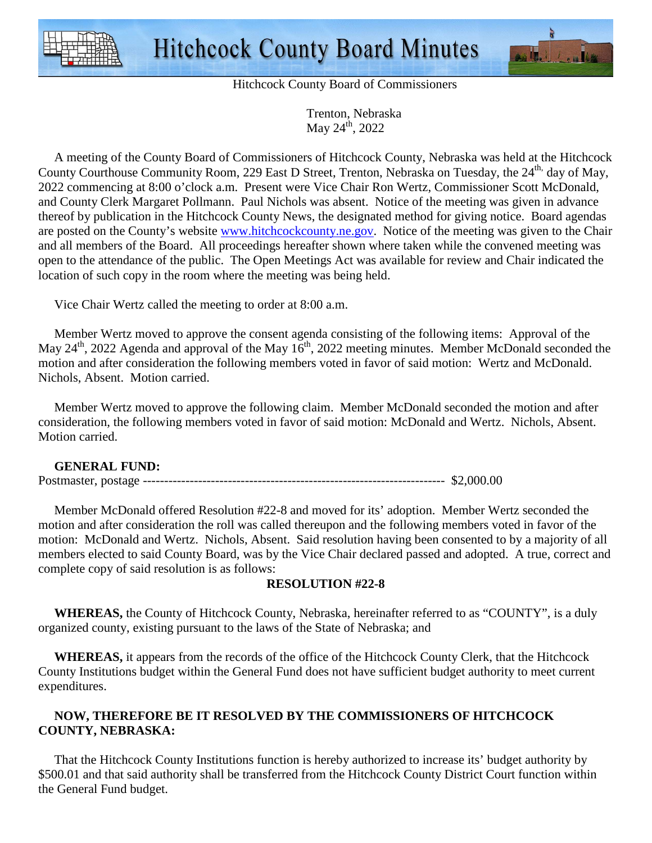



Hitchcock County Board of Commissioners

 Trenton, Nebraska May  $24^{th}$ , 2022

 A meeting of the County Board of Commissioners of Hitchcock County, Nebraska was held at the Hitchcock County Courthouse Community Room, 229 East D Street, Trenton, Nebraska on Tuesday, the 24<sup>th,</sup> day of May, 2022 commencing at 8:00 o'clock a.m. Present were Vice Chair Ron Wertz, Commissioner Scott McDonald, and County Clerk Margaret Pollmann. Paul Nichols was absent. Notice of the meeting was given in advance thereof by publication in the Hitchcock County News, the designated method for giving notice. Board agendas are posted on the County's website www.hitchcockcounty.ne.gov. Notice of the meeting was given to the Chair and all members of the Board. All proceedings hereafter shown where taken while the convened meeting was open to the attendance of the public. The Open Meetings Act was available for review and Chair indicated the location of such copy in the room where the meeting was being held.

Vice Chair Wertz called the meeting to order at 8:00 a.m.

 Member Wertz moved to approve the consent agenda consisting of the following items: Approval of the May  $24<sup>th</sup>$ , 2022 Agenda and approval of the May  $16<sup>th</sup>$ , 2022 meeting minutes. Member McDonald seconded the motion and after consideration the following members voted in favor of said motion: Wertz and McDonald. Nichols, Absent. Motion carried.

 Member Wertz moved to approve the following claim. Member McDonald seconded the motion and after consideration, the following members voted in favor of said motion: McDonald and Wertz. Nichols, Absent. Motion carried.

## **GENERAL FUND:**

Postmaster, postage ----------------------------------------------------------------------- \$2,000.00

 Member McDonald offered Resolution #22-8 and moved for its' adoption. Member Wertz seconded the motion and after consideration the roll was called thereupon and the following members voted in favor of the motion: McDonald and Wertz. Nichols, Absent. Said resolution having been consented to by a majority of all members elected to said County Board, was by the Vice Chair declared passed and adopted. A true, correct and complete copy of said resolution is as follows:

## **RESOLUTION #22-8**

 **WHEREAS,** the County of Hitchcock County, Nebraska, hereinafter referred to as "COUNTY", is a duly organized county, existing pursuant to the laws of the State of Nebraska; and

 **WHEREAS,** it appears from the records of the office of the Hitchcock County Clerk, that the Hitchcock County Institutions budget within the General Fund does not have sufficient budget authority to meet current expenditures.

## **NOW, THEREFORE BE IT RESOLVED BY THE COMMISSIONERS OF HITCHCOCK COUNTY, NEBRASKA:**

That the Hitchcock County Institutions function is hereby authorized to increase its' budget authority by \$500.01 and that said authority shall be transferred from the Hitchcock County District Court function within the General Fund budget.